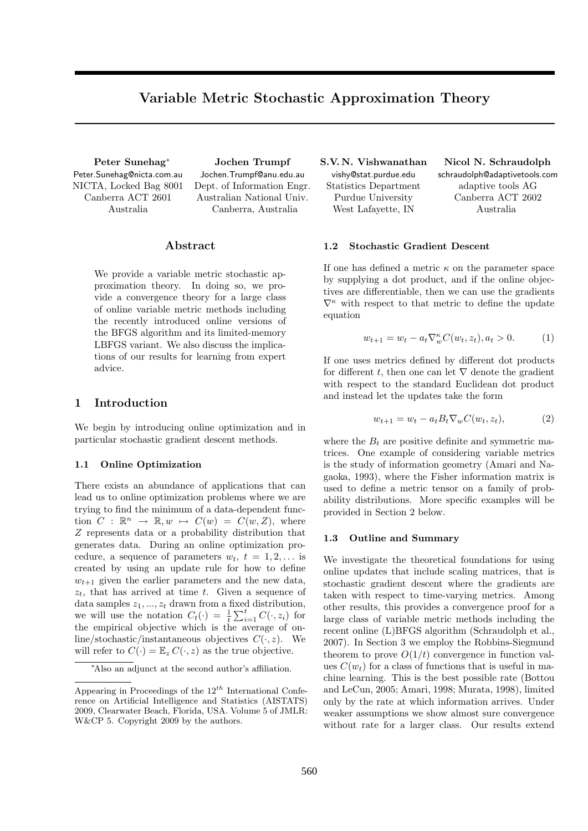# Variable Metric Stochastic Approximation Theory

Peter Sunehag<sup>∗</sup> Peter.Sunehag@nicta.com.au NICTA, Locked Bag 8001 Canberra ACT 2601 Australia

Jochen Trumpf Jochen.Trumpf@anu.edu.au Dept. of Information Engr. Australian National Univ. Canberra, Australia

## Abstract

We provide a variable metric stochastic approximation theory. In doing so, we provide a convergence theory for a large class of online variable metric methods including the recently introduced online versions of the BFGS algorithm and its limited-memory LBFGS variant. We also discuss the implications of our results for learning from expert advice.

## 1 Introduction

We begin by introducing online optimization and in particular stochastic gradient descent methods.

#### 1.1 Online Optimization

There exists an abundance of applications that can lead us to online optimization problems where we are trying to find the minimum of a data-dependent function  $C : \mathbb{R}^n \to \mathbb{R}, w \mapsto C(w) = C(w, Z)$ , where Z represents data or a probability distribution that generates data. During an online optimization procedure, a sequence of parameters  $w_t$ ,  $t = 1, 2, \ldots$  is created by using an update rule for how to define  $w_{t+1}$  given the earlier parameters and the new data,  $z_t$ , that has arrived at time t. Given a sequence of data samples  $z_1, \ldots, z_t$  drawn from a fixed distribution, we will use the notation  $C_t(\cdot) = \frac{1}{t} \sum_{i=1}^t C(\cdot, z_i)$  for the empirical objective which is the average of online/stochastic/instantaneous objectives  $C(\cdot, z)$ . We will refer to  $C(\cdot) = \mathbb{E}_z C(\cdot, z)$  as the true objective.

S.V. N. Vishwanathan vishy@stat.purdue.edu Statistics Department Purdue University West Lafayette, IN

Nicol N. Schraudolph schraudolph@adaptivetools.com adaptive tools AG Canberra ACT 2602 Australia

#### 1.2 Stochastic Gradient Descent

If one has defined a metric  $\kappa$  on the parameter space by supplying a dot product, and if the online objectives are differentiable, then we can use the gradients  $\nabla^{\kappa}$  with respect to that metric to define the update equation

$$
w_{t+1} = w_t - a_t \nabla_w^{\kappa} C(w_t, z_t), a_t > 0.
$$
 (1)

If one uses metrics defined by different dot products for different t, then one can let  $\nabla$  denote the gradient with respect to the standard Euclidean dot product and instead let the updates take the form

$$
w_{t+1} = w_t - a_t B_t \nabla_w C(w_t, z_t), \tag{2}
$$

where the  $B_t$  are positive definite and symmetric matrices. One example of considering variable metrics is the study of information geometry (Amari and Nagaoka, 1993), where the Fisher information matrix is used to define a metric tensor on a family of probability distributions. More specific examples will be provided in Section 2 below.

#### 1.3 Outline and Summary

We investigate the theoretical foundations for using online updates that include scaling matrices, that is stochastic gradient descent where the gradients are taken with respect to time-varying metrics. Among other results, this provides a convergence proof for a large class of variable metric methods including the recent online (L)BFGS algorithm (Schraudolph et al., 2007). In Section 3 we employ the Robbins-Siegmund theorem to prove  $O(1/t)$  convergence in function values  $C(w_t)$  for a class of functions that is useful in machine learning. This is the best possible rate (Bottou and LeCun, 2005; Amari, 1998; Murata, 1998), limited only by the rate at which information arrives. Under weaker assumptions we show almost sure convergence without rate for a larger class. Our results extend

<sup>∗</sup>Also an adjunct at the second author's affiliation.

Appearing in Proceedings of the  $12^{th}$  International Conference on Artificial Intelligence and Statistics (AISTATS) 2009, Clearwater Beach, Florida, USA. Volume 5 of JMLR: W&CP 5. Copyright 2009 by the authors.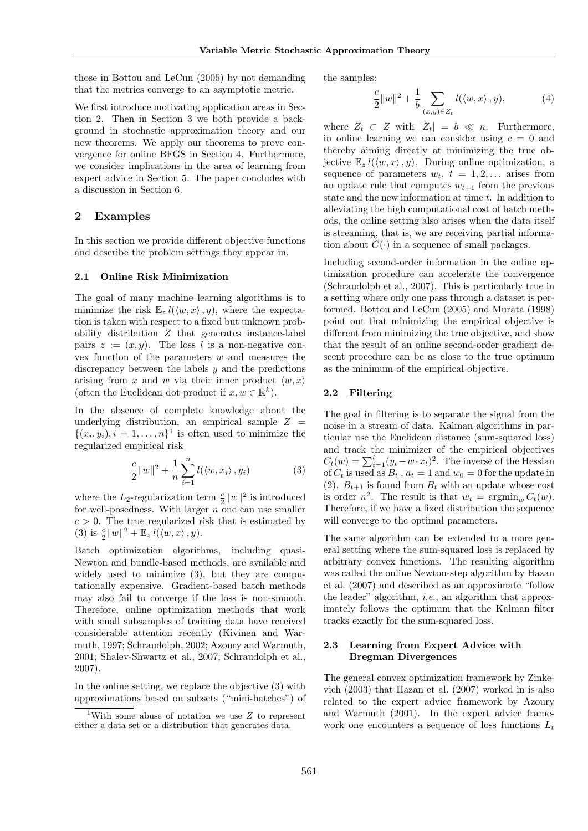those in Bottou and LeCun (2005) by not demanding that the metrics converge to an asymptotic metric.

We first introduce motivating application areas in Section 2. Then in Section 3 we both provide a background in stochastic approximation theory and our new theorems. We apply our theorems to prove convergence for online BFGS in Section 4. Furthermore, we consider implications in the area of learning from expert advice in Section 5. The paper concludes with a discussion in Section 6.

## 2 Examples

In this section we provide different objective functions and describe the problem settings they appear in.

#### 2.1 Online Risk Minimization

The goal of many machine learning algorithms is to minimize the risk  $\mathbb{E}_{z} l(\langle w, x \rangle, y)$ , where the expectation is taken with respect to a fixed but unknown probability distribution Z that generates instance-label pairs  $z := (x, y)$ . The loss l is a non-negative convex function of the parameters  $w$  and measures the discrepancy between the labels  $y$  and the predictions arising from x and w via their inner product  $\langle w, x \rangle$ (often the Euclidean dot product if  $x, w \in \mathbb{R}^k$ ).

In the absence of complete knowledge about the underlying distribution, an empirical sample  $Z =$  $\{(x_i, y_i), i = 1, \ldots, n\}^1$  is often used to minimize the regularized empirical risk

$$
\frac{c}{2}||w||^2 + \frac{1}{n}\sum_{i=1}^n l(\langle w, x_i \rangle, y_i)
$$
 (3)

where the  $L_2$ -regularization term  $\frac{c}{2}||w||^2$  is introduced for well-posedness. With larger  $n$  one can use smaller  $c > 0$ . The true regularized risk that is estimated by (3) is  $\frac{c}{2}||w||^2 + \mathbb{E}_z l(\langle w, x \rangle, y)$ .

Batch optimization algorithms, including quasi-Newton and bundle-based methods, are available and widely used to minimize (3), but they are computationally expensive. Gradient-based batch methods may also fail to converge if the loss is non-smooth. Therefore, online optimization methods that work with small subsamples of training data have received considerable attention recently (Kivinen and Warmuth, 1997; Schraudolph, 2002; Azoury and Warmuth, 2001; Shalev-Shwartz et al., 2007; Schraudolph et al., 2007).

In the online setting, we replace the objective (3) with approximations based on subsets ("mini-batches") of the samples:

$$
\frac{c}{2}||w||^2 + \frac{1}{b} \sum_{(x,y)\in Z_t} l(\langle w, x \rangle, y), \tag{4}
$$

where  $Z_t \subset Z$  with  $|Z_t| = b \ll n$ . Furthermore, in online learning we can consider using  $c = 0$  and thereby aiming directly at minimizing the true objective  $\mathbb{E}_{z} l(\langle w, x \rangle, y)$ . During online optimization, a sequence of parameters  $w_t$ ,  $t = 1, 2, \ldots$  arises from an update rule that computes  $w_{t+1}$  from the previous state and the new information at time  $t$ . In addition to alleviating the high computational cost of batch methods, the online setting also arises when the data itself is streaming, that is, we are receiving partial information about  $C(\cdot)$  in a sequence of small packages.

Including second-order information in the online optimization procedure can accelerate the convergence (Schraudolph et al., 2007). This is particularly true in a setting where only one pass through a dataset is performed. Bottou and LeCun (2005) and Murata (1998) point out that minimizing the empirical objective is different from minimizing the true objective, and show that the result of an online second-order gradient descent procedure can be as close to the true optimum as the minimum of the empirical objective.

#### 2.2 Filtering

The goal in filtering is to separate the signal from the noise in a stream of data. Kalman algorithms in particular use the Euclidean distance (sum-squared loss) and track the minimizer of the empirical objectives  $C_t(w) = \sum_{i=1}^t (y_t - w \cdot x_t)^2$ . The inverse of the Hessian of  $C_t$  is used as  $B_t$ ,  $a_t = 1$  and  $w_0 = 0$  for the update in (2).  $B_{t+1}$  is found from  $B_t$  with an update whose cost is order  $n^2$ . The result is that  $w_t = \operatorname{argmin}_w C_t(w)$ . Therefore, if we have a fixed distribution the sequence will converge to the optimal parameters.

The same algorithm can be extended to a more general setting where the sum-squared loss is replaced by arbitrary convex functions. The resulting algorithm was called the online Newton-step algorithm by Hazan et al. (2007) and described as an approximate "follow the leader" algorithm, i.e., an algorithm that approximately follows the optimum that the Kalman filter tracks exactly for the sum-squared loss.

## 2.3 Learning from Expert Advice with Bregman Divergences

The general convex optimization framework by Zinkevich (2003) that Hazan et al. (2007) worked in is also related to the expert advice framework by Azoury and Warmuth (2001). In the expert advice framework one encounters a sequence of loss functions  $L_t$ 

<sup>&</sup>lt;sup>1</sup>With some abuse of notation we use  $Z$  to represent either a data set or a distribution that generates data.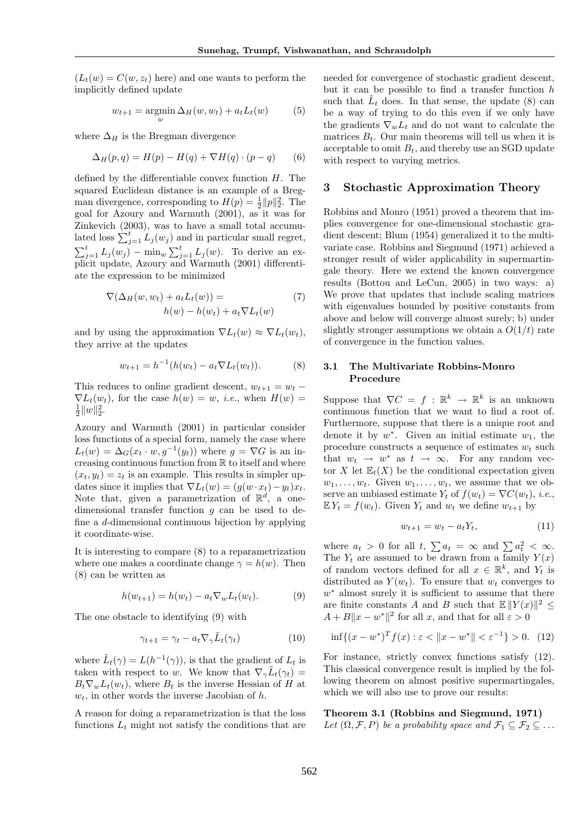$(L_t(w) = C(w, z_t)$  here) and one wants to perform the implicitly defined update

$$
w_{t+1} = \operatorname*{argmin}_{w} \Delta_H(w, w_t) + a_t L_t(w) \tag{5}
$$

where  $\Delta_H$  is the Bregman divergence

$$
\Delta_H(p,q) = H(p) - H(q) + \nabla H(q) \cdot (p-q) \tag{6}
$$

defined by the differentiable convex function  $H$ . The squared Euclidean distance is an example of a Bregman divergence, corresponding to  $H(p) = \frac{1}{2} ||p||_2^2$ . The goal for Azoury and Warmuth (2001), as it was for Zinkevich (2003), was to have a small total accumulated loss  $\sum_{j=1}^{t} L_j(w_j)$  and in particular small regret,  $\sum_{j=1}^t L_j(w_j) - \min_w \sum_{j=1}^t L_j(w)$ . To derive an explicit update, Azoury and Warmuth (2001) differentiate the expression to be minimized

$$
\nabla(\Delta_H(w, w_t) + a_t L_t(w)) =
$$
  
 
$$
h(w) - h(w_t) + a_t \nabla L_t(w)
$$
 (7)

and by using the approximation  $\nabla L_t(w) \approx \nabla L_t(w_t)$ , they arrive at the updates

$$
w_{t+1} = h^{-1}(h(w_t) - a_t \nabla L_t(w_t)).
$$
 (8)

This reduces to online gradient descent,  $w_{t+1} = w_t$  –  $\nabla L_t(w_t)$ , for the case  $h(w) = w$ , *i.e.*, when  $H(w) =$  $\frac{1}{2}||w||_2^2.$ 

Azoury and Warmuth (2001) in particular consider loss functions of a special form, namely the case where  $L_t(w) = \Delta_G(x_t \cdot w, g^{-1}(y_t))$  where  $g = \nabla G$  is an increasing continuous function from  $\mathbb R$  to itself and where  $(x_t, y_t) = z_t$  is an example. This results in simpler updates since it implies that  $\nabla L_t(w) = (g(w \cdot x_t) - y_t)x_t$ . Note that, given a parametrization of  $\mathbb{R}^d$ , a onedimensional transfer function  $g$  can be used to define a d-dimensional continuous bijection by applying it coordinate-wise.

It is interesting to compare (8) to a reparametrization where one makes a coordinate change  $\gamma = h(w)$ . Then (8) can be written as

$$
h(w_{t+1}) = h(w_t) - a_t \nabla_w L_t(w_t). \tag{9}
$$

The one obstacle to identifying (9) with

$$
\gamma_{t+1} = \gamma_t - a_t \nabla_\gamma \tilde{L}_t(\gamma_t)
$$
\n(10)

where  $\tilde{L}_t(\gamma) = L(h^{-1}(\gamma))$ , is that the gradient of  $L_t$  is taken with respect to w. We know that  $\nabla_{\gamma}\tilde{L}_{t}(\gamma_{t})=$  $B_t \nabla_w L_t(w_t)$ , where  $B_t$  is the inverse Hessian of H at  $w_t$ , in other words the inverse Jacobian of h.

A reason for doing a reparametrization is that the loss functions  $L_t$  might not satisfy the conditions that are needed for convergence of stochastic gradient descent, but it can be possible to find a transfer function  $h$ such that  $\tilde{L}_t$  does. In that sense, the update (8) can be a way of trying to do this even if we only have the gradients  $\nabla_w L_t$  and do not want to calculate the matrices  $B_t$ . Our main theorems will tell us when it is acceptable to omit  $B_t$ , and thereby use an SGD update with respect to varying metrics.

#### 3 Stochastic Approximation Theory

Robbins and Monro (1951) proved a theorem that implies convergence for one-dimensional stochastic gradient descent; Blum (1954) generalized it to the multivariate case. Robbins and Siegmund (1971) achieved a stronger result of wider applicability in supermartingale theory. Here we extend the known convergence results (Bottou and LeCun, 2005) in two ways: a) We prove that updates that include scaling matrices with eigenvalues bounded by positive constants from above and below will converge almost surely; b) under slightly stronger assumptions we obtain a  $O(1/t)$  rate of convergence in the function values.

#### 3.1 The Multivariate Robbins-Monro Procedure

Suppose that  $\nabla C = f : \mathbb{R}^k \to \mathbb{R}^k$  is an unknown continuous function that we want to find a root of. Furthermore, suppose that there is a unique root and denote it by  $w^*$ . Given an initial estimate  $w_1$ , the procedure constructs a sequence of estimates  $w_t$  such that  $w_t \rightarrow w^*$  as  $t \rightarrow \infty$ . For any random vector X let  $\mathbb{E}_{t}(X)$  be the conditional expectation given  $w_1, \ldots, w_t$ . Given  $w_1, \ldots, w_t$ , we assume that we observe an unbiased estimate  $Y_t$  of  $f(w_t) = \nabla C(w_t)$ , *i.e.*,  $E Y_t = f(w_t)$ . Given  $Y_t$  and  $w_t$  we define  $w_{t+1}$  by

$$
w_{t+1} = w_t - a_t Y_t, \t\t(11)
$$

where  $a_t > 0$  for all  $t, \sum a_t = \infty$  and  $\sum a_t^2 < \infty$ . The  $Y_t$  are assumed to be drawn from a family  $Y(x)$ of random vectors defined for all  $x \in \mathbb{R}^k$ , and  $Y_t$  is distributed as  $Y(w_t)$ . To ensure that  $w_t$  converges to  $w^*$  almost surely it is sufficient to assume that there are finite constants A and B such that  $\mathbb{E} ||Y(x)||^2 \leq$  $A + B||x - w^*||^2$  for all x, and that for all  $\varepsilon > 0$ 

$$
\inf\{(x - w^*)^T f(x) : \varepsilon < \|x - w^*\| < \varepsilon^{-1}\} > 0. \tag{12}
$$

For instance, strictly convex functions satisfy (12). This classical convergence result is implied by the following theorem on almost positive supermartingales, which we will also use to prove our results:

#### Theorem 3.1 (Robbins and Siegmund, 1971)

Let  $(\Omega, \mathcal{F}, P)$  be a probability space and  $\mathcal{F}_1 \subseteq \mathcal{F}_2 \subseteq \ldots$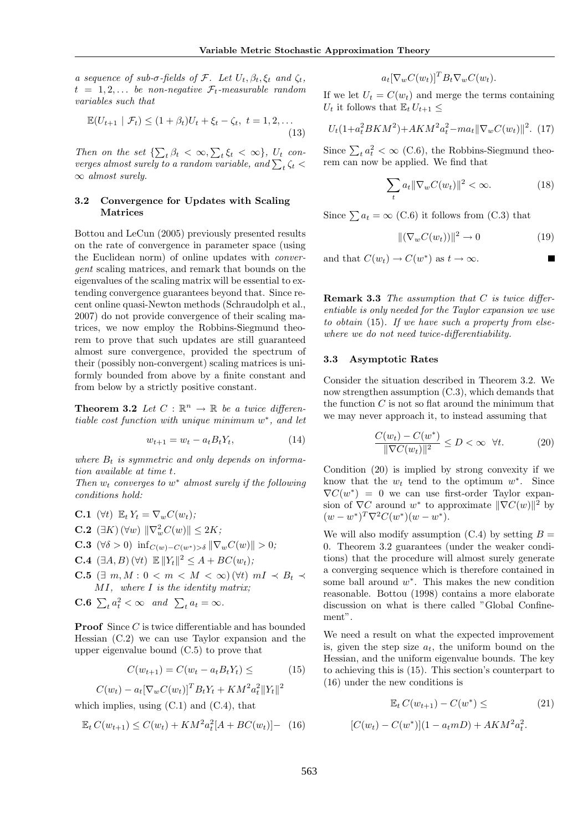a sequence of sub- $\sigma$ -fields of F. Let  $U_t$ ,  $\beta_t$ ,  $\xi_t$  and  $\zeta_t$ ,  $t = 1, 2, \ldots$  be non-negative  $\mathcal{F}_t$ -measurable random variables such that

$$
\mathbb{E}(U_{t+1} \mid \mathcal{F}_t) \le (1 + \beta_t)U_t + \xi_t - \zeta_t, \ t = 1, 2, \dots
$$
\n(13)

Then on the set  $\{\sum_t \beta_t < \infty, \sum_t \xi_t < \infty\}$ ,  $U_t$  converges almost surely to a random variable, and  $\sum_t \zeta_t$  <  $\infty$  almost surely.

## 3.2 Convergence for Updates with Scaling Matrices

Bottou and LeCun (2005) previously presented results on the rate of convergence in parameter space (using the Euclidean norm) of online updates with convergent scaling matrices, and remark that bounds on the eigenvalues of the scaling matrix will be essential to extending convergence guarantees beyond that. Since recent online quasi-Newton methods (Schraudolph et al., 2007) do not provide convergence of their scaling matrices, we now employ the Robbins-Siegmund theorem to prove that such updates are still guaranteed almost sure convergence, provided the spectrum of their (possibly non-convergent) scaling matrices is uniformly bounded from above by a finite constant and from below by a strictly positive constant.

**Theorem 3.2** Let  $C : \mathbb{R}^n \to \mathbb{R}$  be a twice differentiable cost function with unique minimum  $w^*$ , and let

$$
w_{t+1} = w_t - a_t B_t Y_t, \t\t(14)
$$

where  $B_t$  is symmetric and only depends on information available at time t.

Then  $w_t$  converges to  $w^*$  almost surely if the following conditions hold:

\n- **C.1** 
$$
(\forall t) \mathbb{E}_t Y_t = \nabla_w C(w_t);
$$
\n- **C.2**  $(\exists K) (\forall w) \|\nabla_w^2 C(w)\| \leq 2K;$
\n- **C.3**  $(\forall \delta > 0) \inf_{C(w) - C(w^*) > \delta} \|\nabla_w C(w)\| > 0;$
\n- **C.4**  $(\exists A, B) (\forall t) \mathbb{E} \|Y_t\|^2 \leq A + BC(w_t);$
\n- **C.5**  $(7, 1)$   $(8, 1)$
\n

- C.5  $(\exists m, M : 0 < m < M < \infty)$   $(\forall t)$   $mI \prec B_t \prec$ MI, where I is the identity matrix;
- **C.6**  $\sum_{t} a_t^2 < \infty$  and  $\sum_{t} a_t = \infty$ .

**Proof** Since C is twice differentiable and has bounded Hessian (C.2) we can use Taylor expansion and the upper eigenvalue bound (C.5) to prove that

$$
C(w_{t+1}) = C(w_t - a_t B_t Y_t) \leq \tag{15}
$$

$$
C(w_t) - a_t [\nabla_w C(w_t)]^T B_t Y_t + KM^2 a_t^2 ||Y_t||^2
$$

which implies, using  $(C.1)$  and  $(C.4)$ , that

$$
\mathbb{E}_t C(w_{t+1}) \le C(w_t) + KM^2 a_t^2 [A + BC(w_t)] - (16)
$$

 $a_t[\nabla_wC(w_t)]^T B_t\nabla_wC(w_t).$ 

If we let  $U_t = C(w_t)$  and merge the terms containing  $U_t$  it follows that  $\mathbb{E}_t U_{t+1} \leq$ 

$$
U_t(1+a_t^2 B K M^2) + AK M^2 a_t^2 - m a_t \|\nabla_w C(w_t)\|^2.
$$
 (17)

Since  $\sum_{t} a_t^2 < \infty$  (C.6), the Robbins-Siegmund theorem can now be applied. We find that

$$
\sum_{t} a_t \|\nabla_w C(w_t)\|^2 < \infty. \tag{18}
$$

Since  $\sum a_t = \infty$  (C.6) it follows from (C.3) that

$$
\|(\nabla_w C(w_t))\|^2 \to 0 \tag{19}
$$

and that  $C(w_t) \to C(w^*)$  as  $t \to \infty$ .

**Remark 3.3** The assumption that  $C$  is twice differentiable is only needed for the Taylor expansion we use to obtain (15). If we have such a property from elsewhere we do not need twice-differentiability.

#### 3.3 Asymptotic Rates

Consider the situation described in Theorem 3.2. We now strengthen assumption (C.3), which demands that the function  $C$  is not so flat around the minimum that we may never approach it, to instead assuming that

$$
\frac{C(w_t) - C(w^*)}{\|\nabla C(w_t)\|^2} \le D < \infty \quad \forall t. \tag{20}
$$

Condition (20) is implied by strong convexity if we know that the  $w_t$  tend to the optimum  $w^*$ . Since  $\nabla C(w^*) = 0$  we can use first-order Taylor expansion of  $\nabla C$  around w<sup>\*</sup> to approximate  $\|\nabla C(w)\|^2$  by  $(w - w^*)^T \nabla^2 C(w^*)(w - w^*)$ .

We will also modify assumption  $(C.4)$  by setting  $B =$ 0. Theorem 3.2 guarantees (under the weaker conditions) that the procedure will almost surely generate a converging sequence which is therefore contained in some ball around  $w^*$ . This makes the new condition reasonable. Bottou (1998) contains a more elaborate discussion on what is there called "Global Confinement".

We need a result on what the expected improvement is, given the step size  $a_t$ , the uniform bound on the Hessian, and the uniform eigenvalue bounds. The key to achieving this is (15). This section's counterpart to (16) under the new conditions is

$$
\mathbb{E}_t C(w_{t+1}) - C(w^*) \leq (21)
$$

$$
[C(w_t) - C(w^*)](1 - a_t mD) + AKM^2 a_t^2.
$$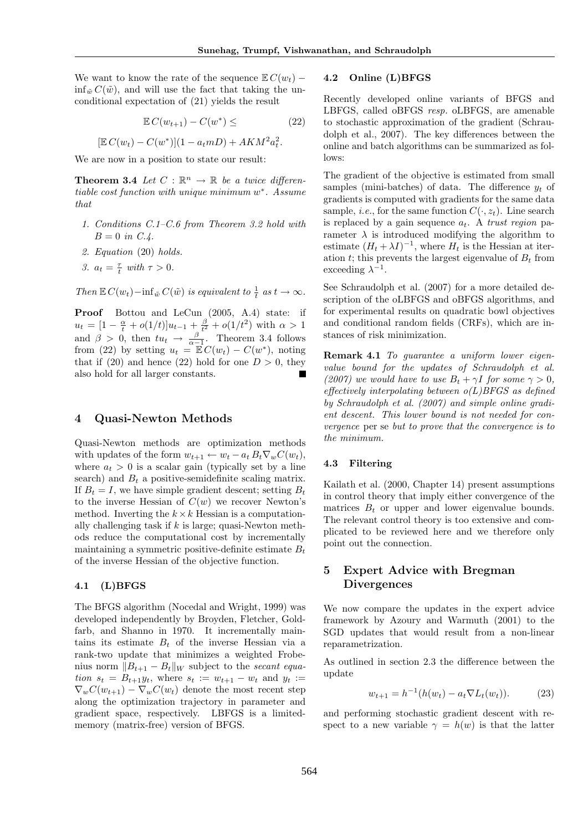We want to know the rate of the sequence  $\mathbb{E} C(w_t)$  −  $\inf_{\tilde{w}} C(\tilde{w})$ , and will use the fact that taking the unconditional expectation of (21) yields the result

$$
\mathbb{E} C(w_{t+1}) - C(w^*) \leq \tag{22}
$$

$$
[\mathbb{E} C(w_t) - C(w^*)](1 - a_t m) + AKM^2 a_t^2.
$$

We are now in a position to state our result:

**Theorem 3.4** Let  $C : \mathbb{R}^n \to \mathbb{R}$  be a twice differentiable cost function with unique minimum w\*. Assume that

- 1. Conditions C.1–C.6 from Theorem 3.2 hold with  $B = 0$  in C.4.
- 2. Equation (20) holds.
- 3.  $a_t = \frac{\tau}{t}$  with  $\tau > 0$ .

Then  $\mathbb{E} C(w_t) - \inf_{\tilde{w}} C(\tilde{w})$  is equivalent to  $\frac{1}{t}$  as  $t \to \infty$ .

Proof Bottou and LeCun (2005, A.4) state: if  $u_t = [1 - \frac{\alpha}{t} + o(1/t)]u_{t-1} + \frac{\beta}{t^2} + o(1/t^2)$  with  $\alpha > 1$ and  $\beta > 0$ , then  $tu_t \rightarrow \frac{\beta}{\alpha-1}$ . Theorem 3.4 follows from (22) by setting  $u_t = \mathbb{E} C(w_t) - C(w^*)$ , noting that if (20) and hence (22) hold for one  $D > 0$ , they also hold for all larger constants.

#### 4 Quasi-Newton Methods

Quasi-Newton methods are optimization methods with updates of the form  $w_{t+1} \leftarrow w_t - a_t B_t \nabla_w C(w_t)$ , where  $a_t > 0$  is a scalar gain (typically set by a line search) and  $B_t$  a positive-semidefinite scaling matrix. If  $B_t = I$ , we have simple gradient descent; setting  $B_t$ to the inverse Hessian of  $C(w)$  we recover Newton's method. Inverting the  $k \times k$  Hessian is a computationally challenging task if  $k$  is large; quasi-Newton methods reduce the computational cost by incrementally maintaining a symmetric positive-definite estimate  $B_t$ of the inverse Hessian of the objective function.

#### 4.1 (L)BFGS

The BFGS algorithm (Nocedal and Wright, 1999) was developed independently by Broyden, Fletcher, Goldfarb, and Shanno in 1970. It incrementally maintains its estimate  $B_t$  of the inverse Hessian via a rank-two update that minimizes a weighted Frobenius norm  $||B_{t+1} - B_t||_W$  subject to the secant equation  $s_t = B_{t+1}y_t$ , where  $s_t := w_{t+1} - w_t$  and  $y_t :=$  $\nabla_w C(w_{t+1}) - \nabla_w C(w_t)$  denote the most recent step along the optimization trajectory in parameter and gradient space, respectively. LBFGS is a limitedmemory (matrix-free) version of BFGS.

#### 4.2 Online (L)BFGS

Recently developed online variants of BFGS and LBFGS, called oBFGS resp. oLBFGS, are amenable to stochastic approximation of the gradient (Schraudolph et al., 2007). The key differences between the online and batch algorithms can be summarized as follows:

The gradient of the objective is estimated from small samples (mini-batches) of data. The difference  $y_t$  of gradients is computed with gradients for the same data sample, *i.e.*, for the same function  $C(\cdot, z_t)$ . Line search is replaced by a gain sequence  $a_t$ . A trust region parameter  $\lambda$  is introduced modifying the algorithm to estimate  $(H_t + \lambda I)^{-1}$ , where  $H_t$  is the Hessian at iteration t; this prevents the largest eigenvalue of  $B_t$  from exceeding  $\lambda^{-1}$ .

See Schraudolph et al. (2007) for a more detailed description of the oLBFGS and oBFGS algorithms, and for experimental results on quadratic bowl objectives and conditional random fields (CRFs), which are instances of risk minimization.

Remark 4.1 To guarantee a uniform lower eigenvalue bound for the updates of Schraudolph et al. (2007) we would have to use  $B_t + \gamma I$  for some  $\gamma > 0$ , effectively interpolating between  $o(L)BFGS$  as defined by Schraudolph et al. (2007) and simple online gradient descent. This lower bound is not needed for convergence per se but to prove that the convergence is to the minimum.

#### 4.3 Filtering

Kailath et al. (2000, Chapter 14) present assumptions in control theory that imply either convergence of the matrices  $B_t$  or upper and lower eigenvalue bounds. The relevant control theory is too extensive and complicated to be reviewed here and we therefore only point out the connection.

# 5 Expert Advice with Bregman Divergences

We now compare the updates in the expert advice framework by Azoury and Warmuth (2001) to the SGD updates that would result from a non-linear reparametrization.

As outlined in section 2.3 the difference between the update

$$
w_{t+1} = h^{-1}(h(w_t) - a_t \nabla L_t(w_t)).
$$
 (23)

and performing stochastic gradient descent with respect to a new variable  $\gamma = h(w)$  is that the latter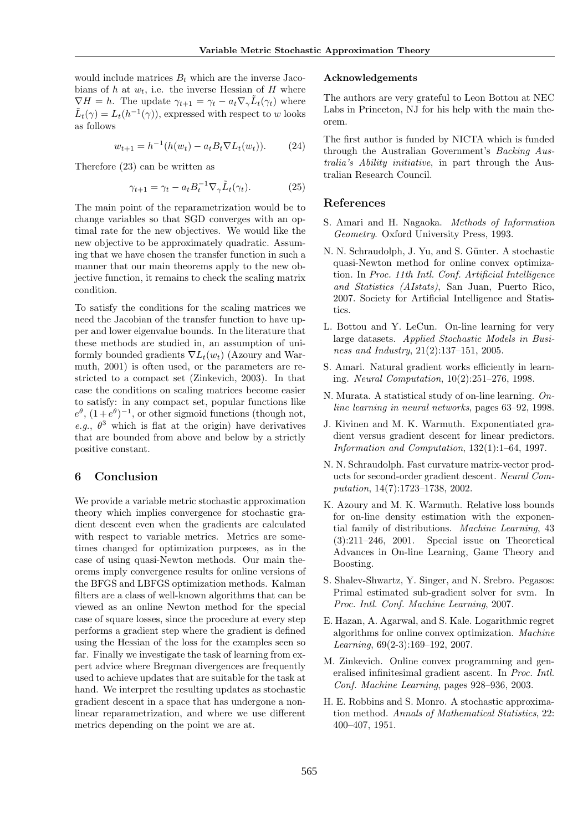would include matrices  $B_t$  which are the inverse Jacobians of h at  $w_t$ , i.e. the inverse Hessian of H where  $\nabla H = h$ . The update  $\gamma_{t+1} = \gamma_t - a_t \nabla_{\gamma} \tilde{L}_t(\gamma_t)$  where  $\tilde{L}_t(\gamma) = L_t(h^{-1}(\gamma))$ , expressed with respect to w looks as follows

$$
w_{t+1} = h^{-1}(h(w_t) - a_t B_t \nabla L_t(w_t)).
$$
 (24)

Therefore (23) can be written as

$$
\gamma_{t+1} = \gamma_t - a_t B_t^{-1} \nabla_\gamma \tilde{L}_t(\gamma_t). \tag{25}
$$

The main point of the reparametrization would be to change variables so that SGD converges with an optimal rate for the new objectives. We would like the new objective to be approximately quadratic. Assuming that we have chosen the transfer function in such a manner that our main theorems apply to the new objective function, it remains to check the scaling matrix condition.

To satisfy the conditions for the scaling matrices we need the Jacobian of the transfer function to have upper and lower eigenvalue bounds. In the literature that these methods are studied in, an assumption of uniformly bounded gradients  $\nabla L_t(w_t)$  (Azoury and Warmuth, 2001) is often used, or the parameters are restricted to a compact set (Zinkevich, 2003). In that case the conditions on scaling matrices become easier to satisfy: in any compact set, popular functions like  $e^{\theta}$ ,  $(1+e^{\theta})^{-1}$ , or other sigmoid functions (though not, e.g.,  $\theta^3$  which is flat at the origin) have derivatives that are bounded from above and below by a strictly positive constant.

## 6 Conclusion

We provide a variable metric stochastic approximation theory which implies convergence for stochastic gradient descent even when the gradients are calculated with respect to variable metrics. Metrics are sometimes changed for optimization purposes, as in the case of using quasi-Newton methods. Our main theorems imply convergence results for online versions of the BFGS and LBFGS optimization methods. Kalman filters are a class of well-known algorithms that can be viewed as an online Newton method for the special case of square losses, since the procedure at every step performs a gradient step where the gradient is defined using the Hessian of the loss for the examples seen so far. Finally we investigate the task of learning from expert advice where Bregman divergences are frequently used to achieve updates that are suitable for the task at hand. We interpret the resulting updates as stochastic gradient descent in a space that has undergone a nonlinear reparametrization, and where we use different metrics depending on the point we are at.

#### Acknowledgements

The authors are very grateful to Leon Bottou at NEC Labs in Princeton, NJ for his help with the main theorem.

The first author is funded by NICTA which is funded through the Australian Government's Backing Australia's Ability initiative, in part through the Australian Research Council.

#### References

- S. Amari and H. Nagaoka. Methods of Information Geometry. Oxford University Press, 1993.
- N. N. Schraudolph, J. Yu, and S. Günter. A stochastic quasi-Newton method for online convex optimization. In Proc. 11th Intl. Conf. Artificial Intelligence and Statistics (AIstats), San Juan, Puerto Rico, 2007. Society for Artificial Intelligence and Statistics.
- L. Bottou and Y. LeCun. On-line learning for very large datasets. Applied Stochastic Models in Business and Industry, 21(2):137–151, 2005.
- S. Amari. Natural gradient works efficiently in learning. Neural Computation, 10(2):251–276, 1998.
- N. Murata. A statistical study of on-line learning. Online learning in neural networks, pages 63–92, 1998.
- J. Kivinen and M. K. Warmuth. Exponentiated gradient versus gradient descent for linear predictors. Information and Computation, 132(1):1–64, 1997.
- N. N. Schraudolph. Fast curvature matrix-vector products for second-order gradient descent. Neural Computation, 14(7):1723–1738, 2002.
- K. Azoury and M. K. Warmuth. Relative loss bounds for on-line density estimation with the exponential family of distributions. Machine Learning, 43 (3):211–246, 2001. Special issue on Theoretical Advances in On-line Learning, Game Theory and Boosting.
- S. Shalev-Shwartz, Y. Singer, and N. Srebro. Pegasos: Primal estimated sub-gradient solver for svm. In Proc. Intl. Conf. Machine Learning, 2007.
- E. Hazan, A. Agarwal, and S. Kale. Logarithmic regret algorithms for online convex optimization. Machine Learning, 69(2-3):169–192, 2007.
- M. Zinkevich. Online convex programming and generalised infinitesimal gradient ascent. In Proc. Intl. Conf. Machine Learning, pages 928–936, 2003.
- H. E. Robbins and S. Monro. A stochastic approximation method. Annals of Mathematical Statistics, 22: 400–407, 1951.